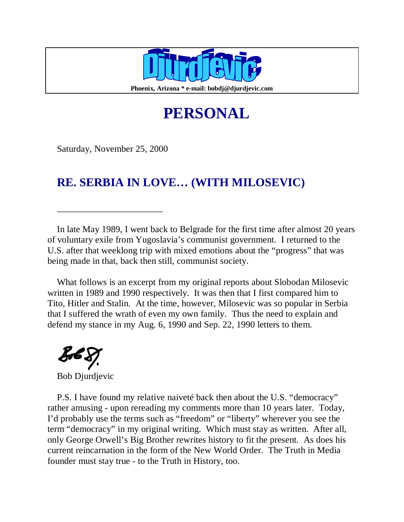

**Phoenix, Arizona \* e-mail: bobdj@djurdjevic.com**

# **PERSONAL**

Saturday, November 25, 2000

\_\_\_\_\_\_\_\_\_\_\_\_\_\_\_\_\_\_\_\_\_\_\_

## **RE. SERBIA IN LOVE… (WITH MILOSEVIC)**

In late May 1989, I went back to Belgrade for the first time after almost 20 years of voluntary exile from Yugoslavia's communist government. I returned to the U.S. after that weeklong trip with mixed emotions about the "progress" that was being made in that, back then still, communist society.

What follows is an excerpt from my original reports about Slobodan Milosevic written in 1989 and 1990 respectively. It was then that I first compared him to Tito, Hitler and Stalin. At the time, however, Milosevic was so popular in Serbia that I suffered the wrath of even my own family. Thus the need to explain and defend my stance in my Aug. 6, 1990 and Sep. 22, 1990 letters to them.

fb.

Bob Djurdjevic

P.S. I have found my relative naiveté back then about the U.S. "democracy" rather amusing - upon rereading my comments more than 10 years later. Today, I'd probably use the terms such as "freedom" or "liberty" wherever you see the term "democracy" in my original writing. Which must stay as written. After all, only George Orwell's Big Brother rewrites history to fit the present. As does his current reincarnation in the form of the New World Order. The Truth in Media founder must stay true - to the Truth in History, too.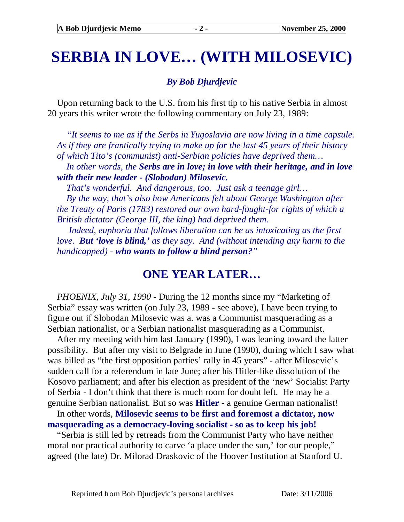# **SERBIA IN LOVE… (WITH MILOSEVIC)**

#### *By Bob Djurdjevic*

Upon returning back to the U.S. from his first tip to his native Serbia in almost 20 years this writer wrote the following commentary on July 23, 1989:

*"It seems to me as if the Serbs in Yugoslavia are now living in a time capsule. As if they are frantically trying to make up for the last 45 years of their history of which Tito's (communist) anti-Serbian policies have deprived them…* 

*In other words, the Serbs are in love; in love with their heritage, and in love with their new leader - (Slobodan) Milosevic.* 

*That's wonderful. And dangerous, too. Just ask a teenage girl…* 

*By the way, that's also how Americans felt about George Washington after the Treaty of Paris (1783) restored our own hard-fought-for rights of which a British dictator (George III, the king) had deprived them.* 

 *Indeed, euphoria that follows liberation can be as intoxicating as the first love. But 'love is blind,' as they say. And (without intending any harm to the handicapped) - who wants to follow a blind person?"* 

### **ONE YEAR LATER…**

*PHOENIX, July 31, 1990* - During the 12 months since my "Marketing of Serbia" essay was written (on July 23, 1989 - see above), I have been trying to figure out if Slobodan Milosevic was a. was a Communist masquerading as a Serbian nationalist, or a Serbian nationalist masquerading as a Communist.

After my meeting with him last January (1990), I was leaning toward the latter possibility. But after my visit to Belgrade in June (1990), during which I saw what was billed as "the first opposition parties' rally in 45 years" - after Milosevic's sudden call for a referendum in late June; after his Hitler-like dissolution of the Kosovo parliament; and after his election as president of the 'new' Socialist Party of Serbia - I don't think that there is much room for doubt left. He may be a genuine Serbian nationalist. But so was **Hitler** - a genuine German nationalist!

In other words, **Milosevic seems to be first and foremost a dictator, now masquerading as a democracy-loving socialist - so as to keep his job!**

"Serbia is still led by retreads from the Communist Party who have neither moral nor practical authority to carve 'a place under the sun,' for our people," agreed (the late) Dr. Milorad Draskovic of the Hoover Institution at Stanford U.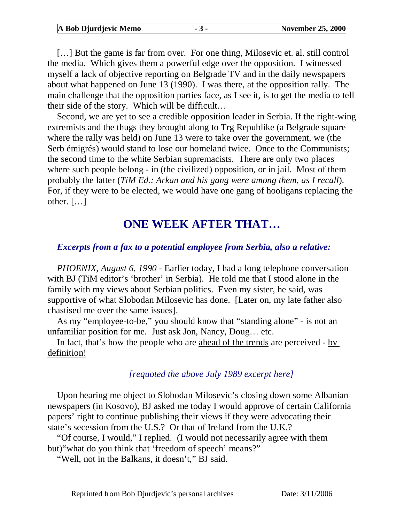**A Bob Djurdjevic Memo - 3 - November 25, 2000** 

[...] But the game is far from over. For one thing, Milosevic et. al. still control the media. Which gives them a powerful edge over the opposition. I witnessed myself a lack of objective reporting on Belgrade TV and in the daily newspapers about what happened on June 13 (1990). I was there, at the opposition rally. The main challenge that the opposition parties face, as I see it, is to get the media to tell their side of the story. Which will be difficult…

Second, we are yet to see a credible opposition leader in Serbia. If the right-wing extremists and the thugs they brought along to Trg Republike (a Belgrade square where the rally was held) on June 13 were to take over the government, we (the Serb émigrés) would stand to lose our homeland twice. Once to the Communists; the second time to the white Serbian supremacists. There are only two places where such people belong - in (the civilized) opposition, or in jail. Most of them probably the latter (*TiM Ed.: Arkan and his gang were among them, as I recall*). For, if they were to be elected, we would have one gang of hooligans replacing the other. […]

### **ONE WEEK AFTER THAT…**

#### *Excerpts from a fax to a potential employee from Serbia, also a relative:*

*PHOENIX, August 6, 1990* - Earlier today, I had a long telephone conversation with BJ (TiM editor's 'brother' in Serbia). He told me that I stood alone in the family with my views about Serbian politics. Even my sister, he said, was supportive of what Slobodan Milosevic has done. [Later on, my late father also chastised me over the same issues].

As my "employee-to-be," you should know that "standing alone" - is not an unfamiliar position for me. Just ask Jon, Nancy, Doug… etc.

In fact, that's how the people who are ahead of the trends are perceived - by definition!

#### *[requoted the above July 1989 excerpt here]*

Upon hearing me object to Slobodan Milosevic's closing down some Albanian newspapers (in Kosovo), BJ asked me today I would approve of certain California papers' right to continue publishing their views if they were advocating their state's secession from the U.S.? Or that of Ireland from the U.K.?

"Of course, I would," I replied. (I would not necessarily agree with them but)"what do you think that 'freedom of speech' means?"

"Well, not in the Balkans, it doesn't," BJ said.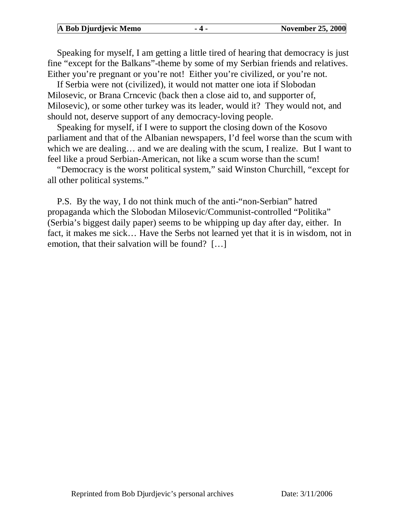|  | A Bob Djurdjevic Memo |  | <b>November 25, 2000</b> |
|--|-----------------------|--|--------------------------|
|--|-----------------------|--|--------------------------|

Speaking for myself, I am getting a little tired of hearing that democracy is just fine "except for the Balkans"-theme by some of my Serbian friends and relatives. Either you're pregnant or you're not! Either you're civilized, or you're not.

If Serbia were not (civilized), it would not matter one iota if Slobodan Milosevic, or Brana Crncevic (back then a close aid to, and supporter of, Milosevic), or some other turkey was its leader, would it? They would not, and should not, deserve support of any democracy-loving people.

Speaking for myself, if I were to support the closing down of the Kosovo parliament and that of the Albanian newspapers, I'd feel worse than the scum with which we are dealing... and we are dealing with the scum, I realize. But I want to feel like a proud Serbian-American, not like a scum worse than the scum!

"Democracy is the worst political system," said Winston Churchill, "except for all other political systems."

P.S. By the way, I do not think much of the anti-"non-Serbian" hatred propaganda which the Slobodan Milosevic/Communist-controlled "Politika" (Serbia's biggest daily paper) seems to be whipping up day after day, either. In fact, it makes me sick… Have the Serbs not learned yet that it is in wisdom, not in emotion, that their salvation will be found? […]